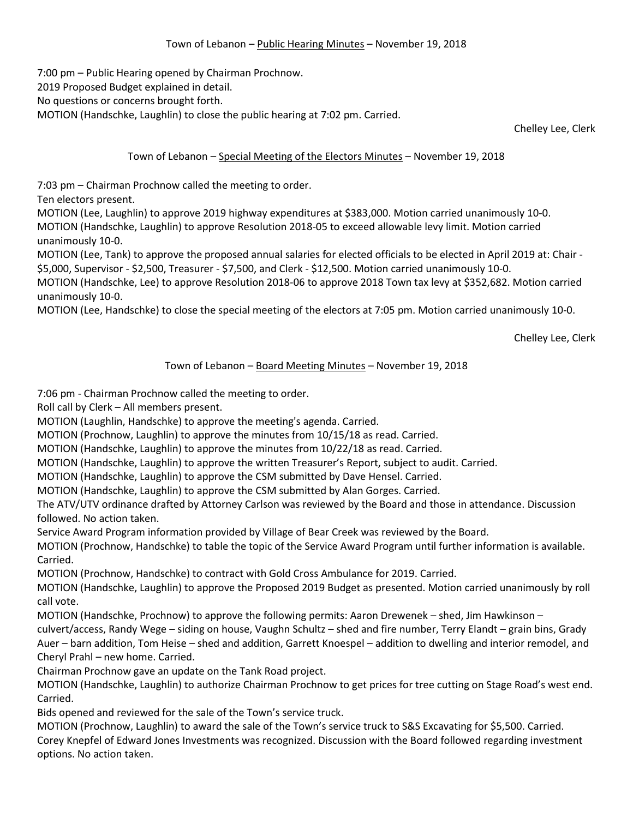7:00 pm – Public Hearing opened by Chairman Prochnow. 2019 Proposed Budget explained in detail. No questions or concerns brought forth. MOTION (Handschke, Laughlin) to close the public hearing at 7:02 pm. Carried.

Chelley Lee, Clerk

## Town of Lebanon – Special Meeting of the Electors Minutes – November 19, 2018

7:03 pm – Chairman Prochnow called the meeting to order.

Ten electors present.

MOTION (Lee, Laughlin) to approve 2019 highway expenditures at \$383,000. Motion carried unanimously 10-0. MOTION (Handschke, Laughlin) to approve Resolution 2018-05 to exceed allowable levy limit. Motion carried unanimously 10-0.

MOTION (Lee, Tank) to approve the proposed annual salaries for elected officials to be elected in April 2019 at: Chair - \$5,000, Supervisor - \$2,500, Treasurer - \$7,500, and Clerk - \$12,500. Motion carried unanimously 10-0.

MOTION (Handschke, Lee) to approve Resolution 2018-06 to approve 2018 Town tax levy at \$352,682. Motion carried unanimously 10-0.

MOTION (Lee, Handschke) to close the special meeting of the electors at 7:05 pm. Motion carried unanimously 10-0.

Chelley Lee, Clerk

## Town of Lebanon – Board Meeting Minutes – November 19, 2018

7:06 pm - Chairman Prochnow called the meeting to order.

Roll call by Clerk – All members present.

MOTION (Laughlin, Handschke) to approve the meeting's agenda. Carried.

MOTION (Prochnow, Laughlin) to approve the minutes from 10/15/18 as read. Carried.

MOTION (Handschke, Laughlin) to approve the minutes from 10/22/18 as read. Carried.

MOTION (Handschke, Laughlin) to approve the written Treasurer's Report, subject to audit. Carried.

MOTION (Handschke, Laughlin) to approve the CSM submitted by Dave Hensel. Carried.

MOTION (Handschke, Laughlin) to approve the CSM submitted by Alan Gorges. Carried.

The ATV/UTV ordinance drafted by Attorney Carlson was reviewed by the Board and those in attendance. Discussion followed. No action taken.

Service Award Program information provided by Village of Bear Creek was reviewed by the Board.

MOTION (Prochnow, Handschke) to table the topic of the Service Award Program until further information is available. Carried.

MOTION (Prochnow, Handschke) to contract with Gold Cross Ambulance for 2019. Carried.

MOTION (Handschke, Laughlin) to approve the Proposed 2019 Budget as presented. Motion carried unanimously by roll call vote.

MOTION (Handschke, Prochnow) to approve the following permits: Aaron Drewenek – shed, Jim Hawkinson –

culvert/access, Randy Wege – siding on house, Vaughn Schultz – shed and fire number, Terry Elandt – grain bins, Grady Auer – barn addition, Tom Heise – shed and addition, Garrett Knoespel – addition to dwelling and interior remodel, and Cheryl Prahl – new home. Carried.

Chairman Prochnow gave an update on the Tank Road project.

MOTION (Handschke, Laughlin) to authorize Chairman Prochnow to get prices for tree cutting on Stage Road's west end. Carried.

Bids opened and reviewed for the sale of the Town's service truck.

MOTION (Prochnow, Laughlin) to award the sale of the Town's service truck to S&S Excavating for \$5,500. Carried. Corey Knepfel of Edward Jones Investments was recognized. Discussion with the Board followed regarding investment options. No action taken.